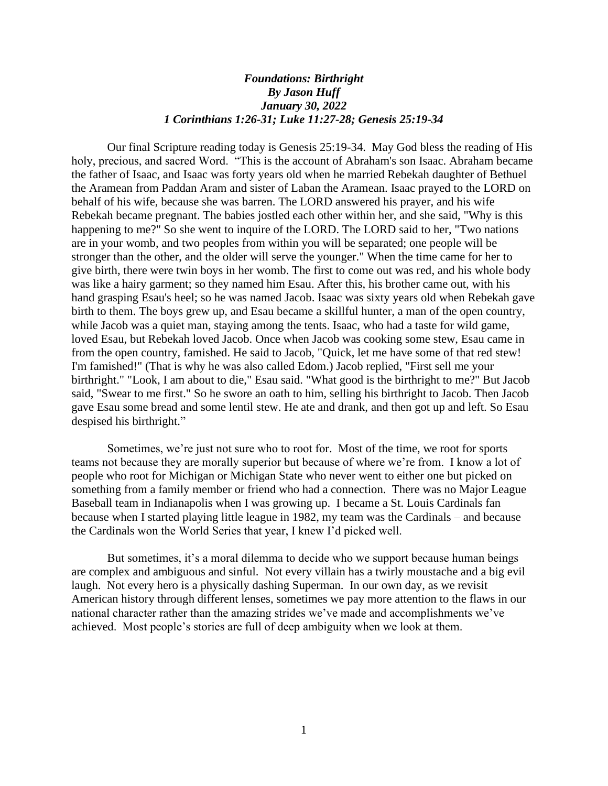## *Foundations: Birthright By Jason Huff January 30, 2022 1 Corinthians 1:26-31; Luke 11:27-28; Genesis 25:19-34*

Our final Scripture reading today is Genesis 25:19-34. May God bless the reading of His holy, precious, and sacred Word. "This is the account of Abraham's son Isaac. Abraham became the father of Isaac, and Isaac was forty years old when he married Rebekah daughter of Bethuel the Aramean from Paddan Aram and sister of Laban the Aramean. Isaac prayed to the LORD on behalf of his wife, because she was barren. The LORD answered his prayer, and his wife Rebekah became pregnant. The babies jostled each other within her, and she said, "Why is this happening to me?" So she went to inquire of the LORD. The LORD said to her, "Two nations are in your womb, and two peoples from within you will be separated; one people will be stronger than the other, and the older will serve the younger." When the time came for her to give birth, there were twin boys in her womb. The first to come out was red, and his whole body was like a hairy garment; so they named him Esau. After this, his brother came out, with his hand grasping Esau's heel; so he was named Jacob. Isaac was sixty years old when Rebekah gave birth to them. The boys grew up, and Esau became a skillful hunter, a man of the open country, while Jacob was a quiet man, staying among the tents. Isaac, who had a taste for wild game, loved Esau, but Rebekah loved Jacob. Once when Jacob was cooking some stew, Esau came in from the open country, famished. He said to Jacob, "Quick, let me have some of that red stew! I'm famished!" (That is why he was also called Edom.) Jacob replied, "First sell me your birthright." "Look, I am about to die," Esau said. "What good is the birthright to me?" But Jacob said, "Swear to me first." So he swore an oath to him, selling his birthright to Jacob. Then Jacob gave Esau some bread and some lentil stew. He ate and drank, and then got up and left. So Esau despised his birthright."

Sometimes, we're just not sure who to root for. Most of the time, we root for sports teams not because they are morally superior but because of where we're from. I know a lot of people who root for Michigan or Michigan State who never went to either one but picked on something from a family member or friend who had a connection. There was no Major League Baseball team in Indianapolis when I was growing up. I became a St. Louis Cardinals fan because when I started playing little league in 1982, my team was the Cardinals – and because the Cardinals won the World Series that year, I knew I'd picked well.

But sometimes, it's a moral dilemma to decide who we support because human beings are complex and ambiguous and sinful. Not every villain has a twirly moustache and a big evil laugh. Not every hero is a physically dashing Superman. In our own day, as we revisit American history through different lenses, sometimes we pay more attention to the flaws in our national character rather than the amazing strides we've made and accomplishments we've achieved. Most people's stories are full of deep ambiguity when we look at them.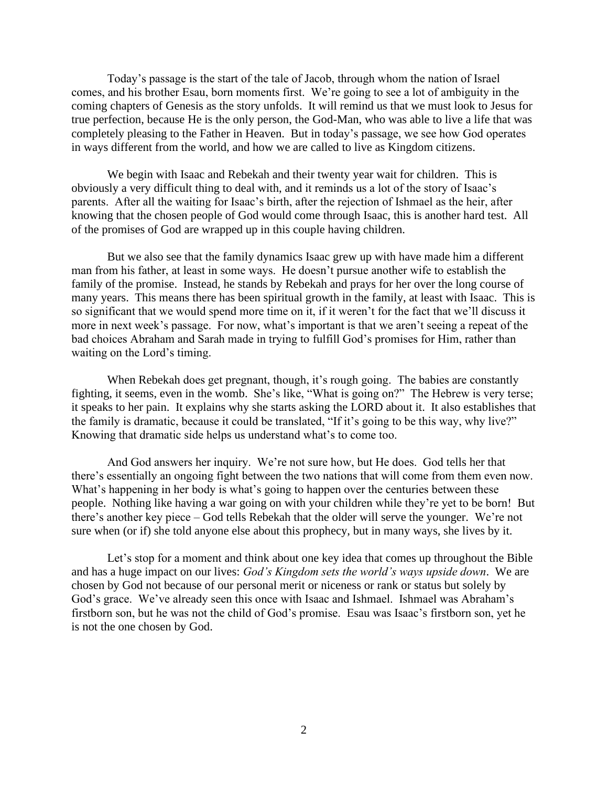Today's passage is the start of the tale of Jacob, through whom the nation of Israel comes, and his brother Esau, born moments first. We're going to see a lot of ambiguity in the coming chapters of Genesis as the story unfolds. It will remind us that we must look to Jesus for true perfection, because He is the only person, the God-Man, who was able to live a life that was completely pleasing to the Father in Heaven. But in today's passage, we see how God operates in ways different from the world, and how we are called to live as Kingdom citizens.

We begin with Isaac and Rebekah and their twenty year wait for children. This is obviously a very difficult thing to deal with, and it reminds us a lot of the story of Isaac's parents. After all the waiting for Isaac's birth, after the rejection of Ishmael as the heir, after knowing that the chosen people of God would come through Isaac, this is another hard test. All of the promises of God are wrapped up in this couple having children.

But we also see that the family dynamics Isaac grew up with have made him a different man from his father, at least in some ways. He doesn't pursue another wife to establish the family of the promise. Instead, he stands by Rebekah and prays for her over the long course of many years. This means there has been spiritual growth in the family, at least with Isaac. This is so significant that we would spend more time on it, if it weren't for the fact that we'll discuss it more in next week's passage. For now, what's important is that we aren't seeing a repeat of the bad choices Abraham and Sarah made in trying to fulfill God's promises for Him, rather than waiting on the Lord's timing.

When Rebekah does get pregnant, though, it's rough going. The babies are constantly fighting, it seems, even in the womb. She's like, "What is going on?" The Hebrew is very terse; it speaks to her pain. It explains why she starts asking the LORD about it. It also establishes that the family is dramatic, because it could be translated, "If it's going to be this way, why live?" Knowing that dramatic side helps us understand what's to come too.

And God answers her inquiry. We're not sure how, but He does. God tells her that there's essentially an ongoing fight between the two nations that will come from them even now. What's happening in her body is what's going to happen over the centuries between these people. Nothing like having a war going on with your children while they're yet to be born! But there's another key piece – God tells Rebekah that the older will serve the younger. We're not sure when (or if) she told anyone else about this prophecy, but in many ways, she lives by it.

Let's stop for a moment and think about one key idea that comes up throughout the Bible and has a huge impact on our lives: *God's Kingdom sets the world's ways upside down*. We are chosen by God not because of our personal merit or niceness or rank or status but solely by God's grace. We've already seen this once with Isaac and Ishmael. Ishmael was Abraham's firstborn son, but he was not the child of God's promise. Esau was Isaac's firstborn son, yet he is not the one chosen by God.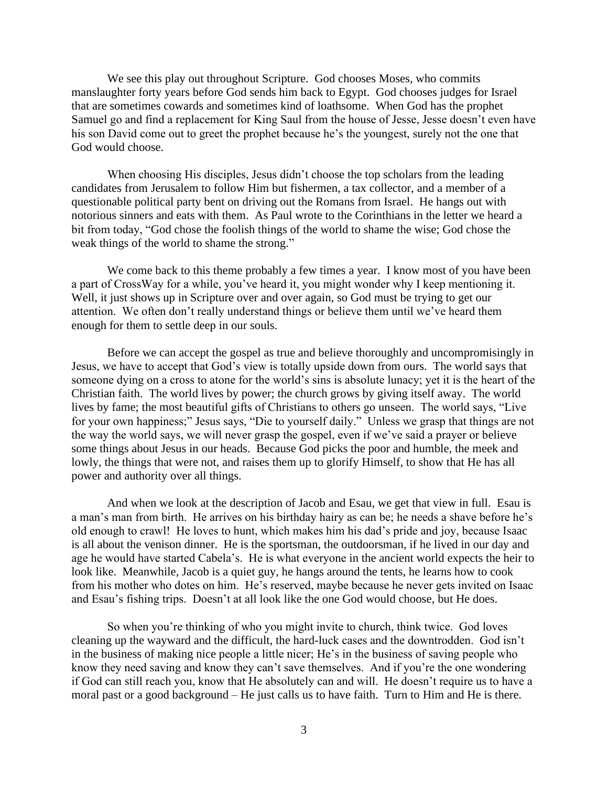We see this play out throughout Scripture. God chooses Moses, who commits manslaughter forty years before God sends him back to Egypt. God chooses judges for Israel that are sometimes cowards and sometimes kind of loathsome. When God has the prophet Samuel go and find a replacement for King Saul from the house of Jesse, Jesse doesn't even have his son David come out to greet the prophet because he's the youngest, surely not the one that God would choose.

When choosing His disciples, Jesus didn't choose the top scholars from the leading candidates from Jerusalem to follow Him but fishermen, a tax collector, and a member of a questionable political party bent on driving out the Romans from Israel. He hangs out with notorious sinners and eats with them. As Paul wrote to the Corinthians in the letter we heard a bit from today, "God chose the foolish things of the world to shame the wise; God chose the weak things of the world to shame the strong."

We come back to this theme probably a few times a year. I know most of you have been a part of CrossWay for a while, you've heard it, you might wonder why I keep mentioning it. Well, it just shows up in Scripture over and over again, so God must be trying to get our attention. We often don't really understand things or believe them until we've heard them enough for them to settle deep in our souls.

Before we can accept the gospel as true and believe thoroughly and uncompromisingly in Jesus, we have to accept that God's view is totally upside down from ours. The world says that someone dying on a cross to atone for the world's sins is absolute lunacy; yet it is the heart of the Christian faith. The world lives by power; the church grows by giving itself away. The world lives by fame; the most beautiful gifts of Christians to others go unseen. The world says, "Live for your own happiness;" Jesus says, "Die to yourself daily." Unless we grasp that things are not the way the world says, we will never grasp the gospel, even if we've said a prayer or believe some things about Jesus in our heads. Because God picks the poor and humble, the meek and lowly, the things that were not, and raises them up to glorify Himself, to show that He has all power and authority over all things.

And when we look at the description of Jacob and Esau, we get that view in full. Esau is a man's man from birth. He arrives on his birthday hairy as can be; he needs a shave before he's old enough to crawl! He loves to hunt, which makes him his dad's pride and joy, because Isaac is all about the venison dinner. He is the sportsman, the outdoorsman, if he lived in our day and age he would have started Cabela's. He is what everyone in the ancient world expects the heir to look like. Meanwhile, Jacob is a quiet guy, he hangs around the tents, he learns how to cook from his mother who dotes on him. He's reserved, maybe because he never gets invited on Isaac and Esau's fishing trips. Doesn't at all look like the one God would choose, but He does.

So when you're thinking of who you might invite to church, think twice. God loves cleaning up the wayward and the difficult, the hard-luck cases and the downtrodden. God isn't in the business of making nice people a little nicer; He's in the business of saving people who know they need saving and know they can't save themselves. And if you're the one wondering if God can still reach you, know that He absolutely can and will. He doesn't require us to have a moral past or a good background – He just calls us to have faith. Turn to Him and He is there.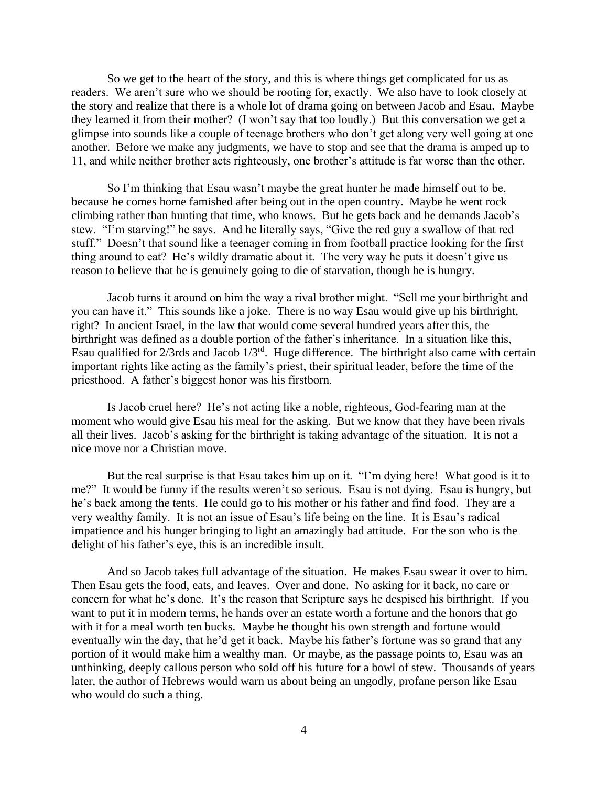So we get to the heart of the story, and this is where things get complicated for us as readers. We aren't sure who we should be rooting for, exactly. We also have to look closely at the story and realize that there is a whole lot of drama going on between Jacob and Esau. Maybe they learned it from their mother? (I won't say that too loudly.) But this conversation we get a glimpse into sounds like a couple of teenage brothers who don't get along very well going at one another. Before we make any judgments, we have to stop and see that the drama is amped up to 11, and while neither brother acts righteously, one brother's attitude is far worse than the other.

So I'm thinking that Esau wasn't maybe the great hunter he made himself out to be, because he comes home famished after being out in the open country. Maybe he went rock climbing rather than hunting that time, who knows. But he gets back and he demands Jacob's stew. "I'm starving!" he says. And he literally says, "Give the red guy a swallow of that red stuff." Doesn't that sound like a teenager coming in from football practice looking for the first thing around to eat? He's wildly dramatic about it. The very way he puts it doesn't give us reason to believe that he is genuinely going to die of starvation, though he is hungry.

Jacob turns it around on him the way a rival brother might. "Sell me your birthright and you can have it." This sounds like a joke. There is no way Esau would give up his birthright, right? In ancient Israel, in the law that would come several hundred years after this, the birthright was defined as a double portion of the father's inheritance. In a situation like this, Esau qualified for 2/3rds and Jacob 1/3rd. Huge difference. The birthright also came with certain important rights like acting as the family's priest, their spiritual leader, before the time of the priesthood. A father's biggest honor was his firstborn.

Is Jacob cruel here? He's not acting like a noble, righteous, God-fearing man at the moment who would give Esau his meal for the asking. But we know that they have been rivals all their lives. Jacob's asking for the birthright is taking advantage of the situation. It is not a nice move nor a Christian move.

But the real surprise is that Esau takes him up on it. "I'm dying here! What good is it to me?" It would be funny if the results weren't so serious. Esau is not dying. Esau is hungry, but he's back among the tents. He could go to his mother or his father and find food. They are a very wealthy family. It is not an issue of Esau's life being on the line. It is Esau's radical impatience and his hunger bringing to light an amazingly bad attitude. For the son who is the delight of his father's eye, this is an incredible insult.

And so Jacob takes full advantage of the situation. He makes Esau swear it over to him. Then Esau gets the food, eats, and leaves. Over and done. No asking for it back, no care or concern for what he's done. It's the reason that Scripture says he despised his birthright. If you want to put it in modern terms, he hands over an estate worth a fortune and the honors that go with it for a meal worth ten bucks. Maybe he thought his own strength and fortune would eventually win the day, that he'd get it back. Maybe his father's fortune was so grand that any portion of it would make him a wealthy man. Or maybe, as the passage points to, Esau was an unthinking, deeply callous person who sold off his future for a bowl of stew. Thousands of years later, the author of Hebrews would warn us about being an ungodly, profane person like Esau who would do such a thing.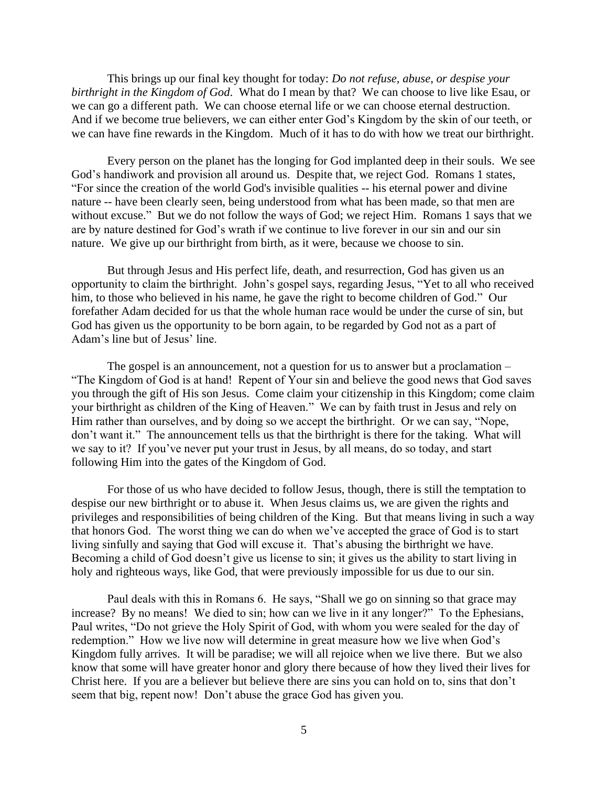This brings up our final key thought for today: *Do not refuse, abuse, or despise your birthright in the Kingdom of God*. What do I mean by that? We can choose to live like Esau, or we can go a different path. We can choose eternal life or we can choose eternal destruction. And if we become true believers, we can either enter God's Kingdom by the skin of our teeth, or we can have fine rewards in the Kingdom. Much of it has to do with how we treat our birthright.

Every person on the planet has the longing for God implanted deep in their souls. We see God's handiwork and provision all around us. Despite that, we reject God. Romans 1 states, "For since the creation of the world God's invisible qualities -- his eternal power and divine nature -- have been clearly seen, being understood from what has been made, so that men are without excuse." But we do not follow the ways of God; we reject Him. Romans 1 says that we are by nature destined for God's wrath if we continue to live forever in our sin and our sin nature. We give up our birthright from birth, as it were, because we choose to sin.

But through Jesus and His perfect life, death, and resurrection, God has given us an opportunity to claim the birthright. John's gospel says, regarding Jesus, "Yet to all who received him, to those who believed in his name, he gave the right to become children of God." Our forefather Adam decided for us that the whole human race would be under the curse of sin, but God has given us the opportunity to be born again, to be regarded by God not as a part of Adam's line but of Jesus' line.

The gospel is an announcement, not a question for us to answer but a proclamation – "The Kingdom of God is at hand! Repent of Your sin and believe the good news that God saves you through the gift of His son Jesus. Come claim your citizenship in this Kingdom; come claim your birthright as children of the King of Heaven." We can by faith trust in Jesus and rely on Him rather than ourselves, and by doing so we accept the birthright. Or we can say, "Nope, don't want it." The announcement tells us that the birthright is there for the taking. What will we say to it? If you've never put your trust in Jesus, by all means, do so today, and start following Him into the gates of the Kingdom of God.

For those of us who have decided to follow Jesus, though, there is still the temptation to despise our new birthright or to abuse it. When Jesus claims us, we are given the rights and privileges and responsibilities of being children of the King. But that means living in such a way that honors God. The worst thing we can do when we've accepted the grace of God is to start living sinfully and saying that God will excuse it. That's abusing the birthright we have. Becoming a child of God doesn't give us license to sin; it gives us the ability to start living in holy and righteous ways, like God, that were previously impossible for us due to our sin.

Paul deals with this in Romans 6. He says, "Shall we go on sinning so that grace may increase? By no means! We died to sin; how can we live in it any longer?" To the Ephesians, Paul writes, "Do not grieve the Holy Spirit of God, with whom you were sealed for the day of redemption." How we live now will determine in great measure how we live when God's Kingdom fully arrives. It will be paradise; we will all rejoice when we live there. But we also know that some will have greater honor and glory there because of how they lived their lives for Christ here. If you are a believer but believe there are sins you can hold on to, sins that don't seem that big, repent now! Don't abuse the grace God has given you.